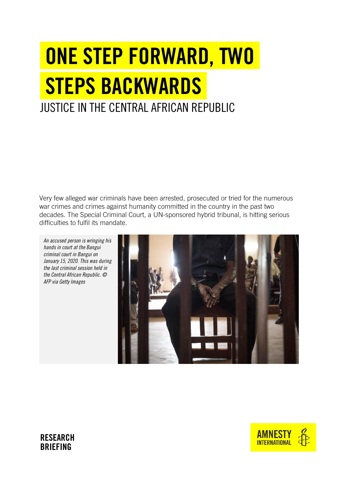# ONE STEP FORWARD, TWO STEPS BACKWARDS JUSTICE IN THE CENTRAL AFRICAN REPUBLIC

war crimes and crimes against humanity committed in the country in the past two decades. The Special Criminal Court, a UN-sponsored hybrid tribunal, is hitting serious difficulties to fulfil its mandate.

*An accused person is wringing his hands in court at the Bangui criminal court in Bangui on January 15, 2020. This was during the last criminal session held in the Central African Republic. © AFP via Getty Images 2020.* This was during the last criminals have been arrested, prosecuted or tried for the numerous<br>var crimes and crimes against humanity committed in the country in the past two<br>decades. The Special Criminal Court, a UN-



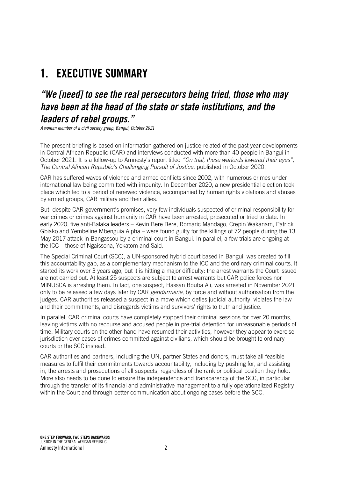## 1. EXECUTIVE SUMMARY

## *"We [need] to see the real persecutors being tried, those who may have been at the head of the state or state institutions, and the leaders of rebel groups."*

*A woman member of a civil society group, Bangui, October 2021*

The present briefing is based on information gathered on justice-related of the past year developments in Central African Republic (CAR) and interviews conducted with more than 40 people in Bangui in October 2021. It is a follow-up to Amnesty's report titled *"On trial, these warlords lowered their eyes", The Central African Republic's Challenging Pursuit of Justice*, published in October 2020.

CAR has suffered waves of violence and armed conflicts since 2002, with numerous crimes under international law being committed with impunity. In December 2020, a new presidential election took place which led to a period of renewed violence, accompanied by human rights violations and abuses by armed groups, CAR military and their allies.

But, despite CAR government's promises, very few individuals suspected of criminal responsibility for war crimes or crimes against humanity in CAR have been arrested, prosecuted or tried to date. In early 2020, five anti-Balaka leaders – Kevin Bere Bere, Romaric Mandago, Crepin Wakanam, Patrick Gbiako and Yembeline Mbenguia Alpha – were found guilty for the killings of 72 people during the 13 May 2017 attack in Bangassou by a criminal court in Bangui. In parallel, a few trials are ongoing at the ICC – those of Ngaissona, Yekatom and Said.

The Special Criminal Court (SCC), a UN-sponsored hybrid court based in Bangui, was created to fill this accountability gap, as a complementary mechanism to the ICC and the ordinary criminal courts. It started its work over 3 years ago, but it is hitting a major difficulty: the arrest warrants the Court issued are not carried out. At least 25 suspects are subject to arrest warrants but CAR police forces nor MINUSCA is arresting them. In fact, one suspect, Hassan Bouba Ali, was arrested in November 2021 only to be released a few days later by CAR *gendarmerie*, by force and without authorisation from the judges. CAR authorities released a suspect in a move which defies judicial authority, violates the law and their commitments, and disregards victims and survivors' rights to truth and justice.

In parallel, CAR criminal courts have completely stopped their criminal sessions for over 20 months, leaving victims with no recourse and accused people in pre-trial detention for unreasonable periods of time. Military courts on the other hand have resumed their activities, however they appear to exercise jurisdiction over cases of crimes committed against civilians, which should be brought to ordinary courts or the SCC instead.

CAR authorities and partners, including the UN, partner States and donors, must take all feasible measures to fulfil their commitments towards accountability, including by pushing for, and assisting in, the arrests and prosecutions of all suspects, regardless of the rank or political position they hold. More also needs to be done to ensure the independence and transparency of the SCC, in particular through the transfer of its financial and administrative management to a fully operationalized Registry within the Court and through better communication about ongoing cases before the SCC.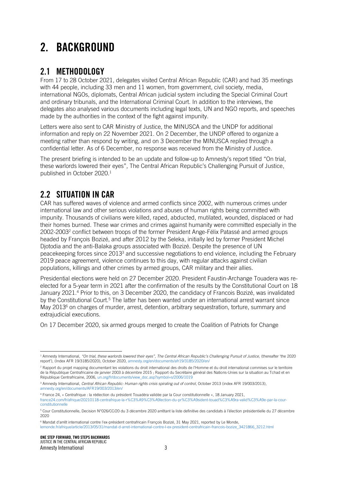# 2. BACKGROUND

#### 2.1 METHODOLOGY

From 17 to 28 October 2021, delegates visited Central African Republic (CAR) and had 35 meetings with 44 people, including 33 men and 11 women, from government, civil society, media, international NGOs, diplomats, Central African judicial system including the Special Criminal Court and ordinary tribunals, and the International Criminal Court. In addition to the interviews, the delegates also analysed various documents including legal texts, UN and NGO reports, and speeches made by the authorities in the context of the fight against impunity.

Letters were also sent to CAR Ministry of Justice, the MINUSCA and the UNDP for additional information and reply on 22 November 2021. On 2 December, the UNDP offered to organize a meeting rather than respond by writing, and on 3 December the MINUSCA replied through a confidential letter. As of 6 December, no response was received from the Ministry of Justice.

The present briefing is intended to be an update and follow-up to Amnesty's report titled "On trial, these warlords lowered their eyes", The Central African Republic's Challenging Pursuit of Justice, published in October 2020. 1

#### 2.2 SITUATION IN CAR

CAR has suffered waves of violence and armed conflicts since 2002, with numerous crimes under international law and other serious violations and abuses of human rights being committed with impunity. Thousands of civilians were killed, raped, abducted, mutilated, wounded, displaced or had their homes burned. These war crimes and crimes against humanity were committed especially in the 2002-2003<sup>2</sup> conflict between troops of the former President Ange-Félix Patassé and armed groups headed by François Bozizé, and after 2012 by the Seleka, initially led by former President Michel Djotodia and the anti-Balaka groups associated with Bozizé. Despite the presence of UN peacekeeping forces since 2013<sup>3</sup> and successive negotiations to end violence, including the February 2019 peace agreement, violence continues to this day, with regular attacks against civilian populations, killings and other crimes by armed groups, CAR military and their allies.

Presidential elections were held on 27 December 2020. President Faustin-Archange Touadera was reelected for a 5-year term in 2021 after the confirmation of the results by the Constitutional Court on 18 January 2021. <sup>4</sup> Prior to this, on 3 December 2020, the candidacy of Francois Bozizé, was invalidated by the Constitutional Court.<sup>5</sup> The latter has been wanted under an international arrest warrant since May 2013<sup>6</sup> on charges of murder, arrest, detention, arbitrary sequestration, torture, summary and extrajudicial executions.

On 17 December 2020, six armed groups merged to create the Coalition of Patriots for Change

<sup>&</sup>lt;sup>1</sup> Amnesty International, "On trial, these warlords lowered their eyes", The Central African Republic's Challenging Pursuit of Justice, (thereafter 'the 2020 report'), (Index AFR 19/3185/2020), October 2020[, amnesty.org/en/documents/afr19/3185/2020/en/](https://www.amnesty.org/en/documents/afr19/3185/2020/en/)

<sup>&</sup>lt;sup>2</sup> Rapport du projet mapping documentant les violations du droit international des droits de l'Homme et du droit international commises sur le territoire de la République Centrafricaine de janvier 2003 à décembre 2015 ; Rapport du Secrétaire général des Nations-Unies sur la situation au Tchad et en République Centrafricaine, 2006[, un.org/fr/documents/view\\_doc.asp?symbol=s/2006/1019](http://un.org/fr/documents/view_doc.asp?symbol=s/2006/1019)

<sup>&</sup>lt;sup>3</sup> Amnesty International, *Central African Republic: Human rights crisis spiraling out of control*, October 2013 (index AFR 19/003/2013), [amnesty.org/en/documents/AFR19/003/2013/en/](http://www.amnesty.org/en/documents/AFR19/003/2013/en/)

<sup>4</sup> France 24, « Centrafrique : la réélection du président Touadéra validée par la Cour constitutionnelle », 18 January 2021, [france24.com/fr/afrique/20210118-centrafrique-la-r%C3%A9%C3%A9lection-du-pr%C3%A9sident-touad%C3%A9ra-valid%C3%A9e-par-la-cour](https://www.france24.com/fr/afrique/20210118-centrafrique-la-r%C3%A9%C3%A9lection-du-pr%C3%A9sident-touad%C3%A9ra-valid%C3%A9e-par-la-cour-constitutionnelle)[constitutionnelle](https://www.france24.com/fr/afrique/20210118-centrafrique-la-r%C3%A9%C3%A9lection-du-pr%C3%A9sident-touad%C3%A9ra-valid%C3%A9e-par-la-cour-constitutionnelle)

<sup>5</sup> Cour Constitutionnelle, Decision N°026/CC/20 du 3 décembre 2020 arrêtant la liste definitive des candidats à l'élection présidentielle du 27 décembre 2020

<sup>6</sup> Mandat d'arrêt international contre l'ex-président centrafricain François Bozizé, 31 May 2021, reported by Le Monde,

[lemonde.fr/afrique/article/2013/05/31/mandat-d-arret-international-contre-l-ex-president-centrafricain-francois-bozize\\_3421866\\_3212.html](https://www.lemonde.fr/afrique/article/2013/05/31/mandat-d-arret-international-contre-l-ex-president-centrafricain-francois-bozize_3421866_3212.html)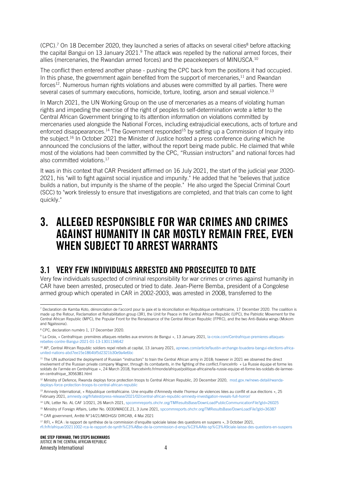(CPC).<sup>7</sup> On 18 December 2020, they launched a series of attacks on several cities<sup>8</sup> before attacking the capital Bangui on 13 January 2021.<sup>9</sup> The attack was repelled by the national armed forces, their allies (mercenaries, the Rwandan armed forces) and the peacekeepers of MINUSCA.<sup>10</sup>

The conflict then entered another phase - pushing the CPC back from the positions it had occupied. In this phase, the government again benefited from the support of mercenaries,<sup>11</sup> and Rwandan forces<sup>12</sup>. Numerous human rights violations and abuses were committed by all parties. There were several cases of summary executions, homicide, torture, looting, arson and sexual violence.<sup>13</sup>

In March 2021, the UN Working Group on the use of mercenaries as a means of violating human rights and impeding the exercise of the right of peoples to self-determination wrote a letter to the Central African Government bringing to its attention information on violations committed by mercenaries used alongside the National Forces, including extrajudicial executions, acts of torture and enforced disappearances.<sup>14</sup> The Government responded<sup>15</sup> by setting up a Commission of Inquiry into the subject. <sup>16</sup> In October 2021 the Minister of Justice hosted a press conference during which he announced the conclusions of the latter, without the report being made public. He claimed that while most of the violations had been committed by the CPC, "Russian instructors" and national forces had also committed violations. 17

It was in this context that CAR President affirmed on 16 July 2021, the start of the judicial year 2020- 2021, his "will to fight against social injustice and impunity." He added that he "believes that justice builds a nation, but impunity is the shame of the people." He also urged the Special Criminal Court (SCC) to "work tirelessly to ensure that investigations are completed, and that trials can come to light quickly."

## 3. ALLEGED RESPONSIBLE FOR WAR CRIMES AND CRIMES AGAINST HUMANITY IN CAR MOSTLY REMAIN FREE, EVEN WHEN SURIFCT TO ARREST WARRANTS

#### 3.1 VERY FEW INDIVIDUALS ARRESTED AND PROSECUTED TO DATE

Very few individuals suspected of criminal responsibility for war crimes or crimes against humanity in CAR have been arrested, prosecuted or tried to date. Jean-Pierre Bemba, president of a Congolese armed group which operated in CAR in 2002-2003, was arrested in 2008, transferred to the

<sup>&</sup>lt;sup>7</sup> Declaration de Kamba Koto, dénonciation de l'accord pour la paix et la réconciliation en République centrafricaine, 17 December 2020. The coalition is made up the Retour, Reclamation et Rehabilitation group (3R), the Unit for Peace in the Central African Republic (UPC), the Patriotic Movement for the Central African Republic (MPC), the Popular Front for the Renaissance of the Central African Republic (FPRC), and the two Anti-Balaka wings (Mokom and Ngaïssona).

<sup>8</sup> CPC, declaration numéro 1, 17 December 2020.

<sup>9</sup> La Croix, « Centrafrique: premières attaques rebelles aux environs de Bangui », 13 January 2021[, la-croix.com/Centrafrique-premieres-attaques](https://www.la-croix.com/Centrafrique-premieres-attaques-rebelles-contre-Bangui-2021-01-13-1301134642)[rebelles-contre-Bangui-2021-01-13-1301134642](https://www.la-croix.com/Centrafrique-premieres-attaques-rebelles-contre-Bangui-2021-01-13-1301134642)

<sup>&</sup>lt;sup>10</sup> AP, Central African Republic soldiers repel rebels at capital, 13 January 2021[, apnews.com/article/faustin-archange-touadera-bangui-elections-africa](https://apnews.com/article/faustin-archange-touadera-bangui-elections-africa-united-nations-abd7ee15e1864bf5d2321b30e9a4e6bc)[united-nations-abd7ee15e1864bf5d2321b30e9a4e6bc](https://apnews.com/article/faustin-archange-touadera-bangui-elections-africa-united-nations-abd7ee15e1864bf5d2321b30e9a4e6bc)

<sup>&</sup>lt;sup>11</sup> The UN authorized the deployment of Russian "instructors" to train the Central African army in 2018; however in 2021 we observed the direct involvement of the Russian private company Wagner, through its combatants, in the fighting of the conflict.FranceInfo « La Russie équipe et forme les soldats de l'armée en Centrafrique », 24 March 2018, francetvinfo.fr/monde/afrique/politique-africaine/la-russie-equipe-et-forme-les-soldats-de-larmeeen-centrafrique\_3056381.html

<sup>&</sup>lt;sup>12</sup> Ministry of Defence, Rwanda deploys force protection troops to Central African Republic, 20 December 2020, [mod.gov.rw/news-detail/rwanda](http://www.mod.gov.rw/news-detail/rwanda-deploys-force-protection-troops-to-central-african-republic)[deploys-force-protection-troops-to-central-african-republic](http://www.mod.gov.rw/news-detail/rwanda-deploys-force-protection-troops-to-central-african-republic)

<sup>13</sup> Amnesty International, « République centrafricaine. Une enquête d'Amnesty révèle l'horreur de violences liées au conflit et aux élections », 25 February 2021, [amnesty.org/fr/latest/press-release/2021/02/central-african-republic-amnesty-investigation-reveals-full-horror/](https://www.amnesty.org/fr/latest/press-release/2021/02/central-african-republic-amnesty-investigation-reveals-full-horror/)

<sup>14</sup> UN[, Letter](file:///C:/Users/abdoulaye.diarra/AppData/Local/Microsoft/Windows/INetCache/Content.Outlook/LQ9UDH2L/Letter) No. AL CAF 1/2021, 26 March 2021, spcommreports.ohchr.org/TMResultsBase/DownLoadPublicCommunicationFile?gId=26025

<sup>15</sup> Ministry of Foreign Affairs, Letter No. 0030/MAECE.21, 3 June 2021[, spcommreports.ohchr.org/TMResultsBase/DownLoadFile?gId=36387](https://spcommreports.ohchr.org/TMResultsBase/DownLoadFile?gId=36387)

<sup>16</sup> CAR government, Arrêté N°14/21/MIDHGS/ DIRCAB, 4 Mai 2021

<sup>&</sup>lt;sup>17</sup> RFI, « RCA : le rapport de synthèse de la commission d'enquête spéciale laisse des questions en suspens », 3 October 2021, [rfi.fr/fr/afrique/20211002-rca-le-rapport-de-synth%C3%A8se-de-la-commission-d-enqu%C3%AAte-sp%C3%A9ciale-laisse-des-questions-en-suspens](https://www.rfi.fr/fr/afrique/20211002-rca-le-rapport-de-synth%C3%A8se-de-la-commission-d-enqu%C3%AAte-sp%C3%A9ciale-laisse-des-questions-en-suspens)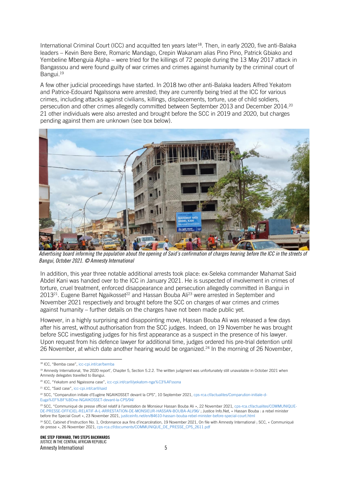International Criminal Court (ICC) and acquitted ten years later<sup>18</sup>. Then, in early 2020, five anti-Balaka leaders – Kevin Bere Bere, Romaric Mandago, Crepin Wakanam alias Pino Pino, Patrick Gbiako and Yembeline Mbenguia Alpha – were tried for the killings of 72 people during the 13 May 2017 attack in Bangassou and were found guilty of war crimes and crimes against humanity by the criminal court of Bangui. 19

A few other judicial proceedings have started. In 2018 two other anti-Balaka leaders Alfred Yekatom and Patrice-Edouard Ngaïssona were arrested; they are currently being tried at the ICC for various crimes, including attacks against civilians, killings, displacements, torture, use of child soldiers, persecution and other crimes allegedly committed between September 2013 and December 2014.<sup>20</sup> 21 other individuals were also arrested and brought before the SCC in 2019 and 2020, but charges pending against them are unknown (see box below).



*Advertising board informing the population about the opening of Said's confirmation of charges hearing before the ICC in the streets of Bangui, October 2021. © Amnesty International*

In addition, this year three notable additional arrests took place: ex-Seleka commander Mahamat Said Abdel Kani was handed over to the ICC in January 2021. He is suspected of involvement in crimes of torture, cruel treatment, enforced disappearance and persecution allegedly committed in Bangui in 2013<sup>21</sup>. Eugene Barret Ngaikosset<sup>22</sup> and Hassan Bouba Ali<sup>23</sup> were arrested in September and November 2021 respectively and brought before the SCC on charges of war crimes and crimes against humanity – further details on the charges have not been made public yet.

However, in a highly surprising and disappointing move, Hassan Bouba Ali was released a few days after his arrest, without authorisation from the SCC judges. Indeed, on 19 November he was brought before SCC investigating judges for his first appearance as a suspect in the presence of his lawyer. Upon request from his defence lawyer for additional time, judges ordered his pre-trial detention until 26 November, at which date another hearing would be organized.<sup>24</sup> In the morning of 26 November,

<sup>&</sup>lt;sup>18</sup> ICC, "Bemba case", [icc-cpi.int/car/bemba](https://www.icc-cpi.int/car/bemba)

<sup>19</sup> Amnesty International, 'the 2020 report', Chapter 5, Section 5.2.2. The written judgment was unfortunately still unavailable in October 2021 when Amnesty delegates travelled to Bangui.

<sup>20</sup> ICC, "Yekatom and Ngaissona case", [icc-cpi.int/carII/yekatom-nga%C3%AFssona](https://www.icc-cpi.int/carII/yekatom-nga%C3%AFssona)

<sup>21</sup> ICC, "Said case", [icc-cpi.int/carII/said](https://www.icc-cpi.int/carII/said)

<sup>22</sup> SCC, "Comparution initiale d'Eugène NGAIKOSSET devant la CPS", 10 September 2021, [cps-rca.cf/actualites/Comparution-initiale-d-](https://cps-rca.cf/actualites/Comparution-initiale-d-Euga%EF%BF%BDne-NGAIKOSSET-devant-la-CPS/94/)[Euga%EF%BF%BDne-NGAIKOSSET-devant-la-CPS/94/](https://cps-rca.cf/actualites/Comparution-initiale-d-Euga%EF%BF%BDne-NGAIKOSSET-devant-la-CPS/94/)

<sup>&</sup>lt;sup>23</sup> SCC, "Communiqué de presse officiel relatif à l'arrestation de Monsieur Hassan Bouba Ali », 22 November 2021[, cps-rca.cf/actualites/COMMUNIQUE-](https://cps-rca.cf/actualites/COMMUNIQUE-DE-PRESSE-OFFICIEL-RELATIF-A-L-ARRESTATION-DE-MONSIEUR-HASSAN-BOUBA-ALI/96/)[DE-PRESSE-OFFICIEL-RELATIF-A-L-ARRESTATION-DE-MONSIEUR-HASSAN-BOUBA-ALI/96/](https://cps-rca.cf/actualites/COMMUNIQUE-DE-PRESSE-OFFICIEL-RELATIF-A-L-ARRESTATION-DE-MONSIEUR-HASSAN-BOUBA-ALI/96/) ; Justice Info.Net, « Hassan Bouba : a rebel minister before the Special Court », 23 November 2021[, justiceinfo.net/en/84610-hassan-bouba-rebel-minister-before-special-court.html](https://www.justiceinfo.net/en/84610-hassan-bouba-rebel-minister-before-special-court.html)

<sup>&</sup>lt;sup>24</sup> SCC, Cabinet d'Instruction No. 1, Ordonnance aux fins d'incarcération, 19 November 2021, On file with Amnesty International ; SCC, « Communiqué de presse », 26 November 2021, [cps-rca.cf/documents/COMMUNIQUE\\_DE\\_PRESSE\\_CPS\\_2611.pdf](https://cps-rca.cf/documents/COMMUNIQUE_DE_PRESSE_CPS_2611.pdf)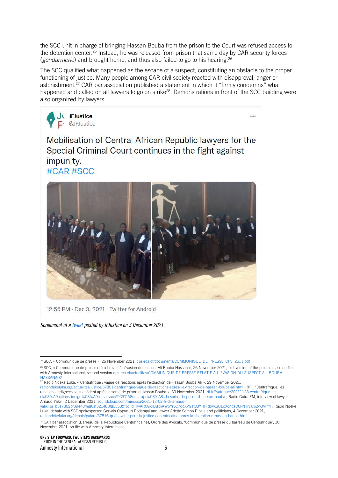the SCC unit in charge of bringing Hassan Bouba from the prison to the Court was refused access to the detention center. <sup>25</sup> Instead, he was released from prison that same day by CAR security forces (*gendarmerie*) and brought home, and thus also failed to go to his hearing. 26

The SCC qualified what happened as the escape of a suspect, constituting an obstacle to the proper functioning of justice. Many people among CAR civil society reacted with disapproval, anger or astonishment. <sup>27</sup> CAR bar association published a statement in which it "firmly condemns" what happened and called on all lawyers to go on strike<sup>28</sup>. Demonstrations in front of the SCC building were also organized by lawyers.



 $\cdots$ 

Mobilisation of Central African Republic lawyers for the Special Criminal Court continues in the fight against impunity. #CAR #SCC



12:55 PM · Dec 3, 2021 · Twitter for Android

*Screenshot of a [tweet](https://twitter.com/JFJustice/status/1466722691721928706?t=ftO5YWdGxyxPEgu5P2aD0A&s=08) posted by JFJustice on 3 December 2021.*

[radiondekeluka.org/actualites/justice/37801-centrafrique-vague-de-reactions-apres-l-extraction-de-hassan-bouba-ali.html](https://www.radiondekeluka.org/actualites/justice/37801-centrafrique-vague-de-reactions-apres-l-extraction-de-hassan-bouba-ali.html) ; RFI, "Centrafrique: les reactions indignées se succèdent après la sortie de prison d'Hassan Bouba », 30 November 2021, rfi.fr/fr/afrique/20211128-centrafrique-l [r%C3%A9actions-indign%C3%A9es-se-succ%C3%A8dent-apr%C3%A8s-la-sortie-de-prison-d-hassan-bouba](https://www.rfi.fr/fr/afrique/20211128-centrafrique-les-r%C3%A9actions-indign%C3%A9es-se-succ%C3%A8dent-apr%C3%A8s-la-sortie-de-prison-d-hassan-bouba) ; Radio Guira FM, interview of lawyer Arnaud Yakili, 2 December 2021[, soundcloud.com/minusca/2021-12-02-fr-dr-arnaud-](https://soundcloud.com/minusca/2021-12-02-fr-dr-arnaud-yaliki?si=b3a7369bf394484e86af321488f80558&fbclid=IwAR0GkrD8xnAWbYr6C7dcXVGat03YHFRbwkuUEcXonqsO6kNTr1UpZw3VPf4)

<sup>&</sup>lt;sup>25</sup> SCC, « Communiqué de presse », 26 November 2021, [cps-rca.cf/documents/COMMUNIQUE\\_DE\\_PRESSE\\_CPS\\_2611.pdf](https://cps-rca.cf/documents/COMMUNIQUE_DE_PRESSE_CPS_2611.pdf)

<sup>&</sup>lt;sup>26</sup> SCC, « Communiqué de presse officiel relatif à l'évasion du suspect Ali Bouba Hassan », 26 November 2021, first version of the press release on file with Amnesty International, second version [cps-rca.cf/actualites/COMMUNIQUE-DE-PRESSE-RELATIF-A-L-EVASION-DU-SUSPECT-ALI-BOUBA-](https://cps-rca.cf/actualites/COMMUNIQUE-DE-PRESSE-RELATIF-A-L-EVASION-DU-SUSPECT-ALI-BOUBA-HASSAN/98/)[HASSAN/98/](https://cps-rca.cf/actualites/COMMUNIQUE-DE-PRESSE-RELATIF-A-L-EVASION-DU-SUSPECT-ALI-BOUBA-HASSAN/98/)

<sup>&</sup>lt;sup>27</sup> Radio Ndeke Luka, « Centrafrique : vague de réactions après l'extraction de Hassan Bouba Ali », 29 November 2021,

[yaliki?si=b3a7369bf394484e86af321488f80558&fbclid=IwAR0GkrD8xnAWbYr6C7dcXVGat03YHFRbwkuUEcXonqsO6kNTr1UpZw3VPf4](https://soundcloud.com/minusca/2021-12-02-fr-dr-arnaud-yaliki?si=b3a7369bf394484e86af321488f80558&fbclid=IwAR0GkrD8xnAWbYr6C7dcXVGat03YHFRbwkuUEcXonqsO6kNTr1UpZw3VPf4) ; Radio Ndeke Luka, debate with SCC spokesperson Gervais Opportun Bodangai and lawyer Arlette Sombo Dibele and politicians, 4 December 2021, [radiondekeluka.org/debats/patara/37816-quel-avenir-pour-la-justice-centrafricaine-apres-la-liberation-d-hassan-bouba.html](https://www.radiondekeluka.org/debats/patara/37816-quel-avenir-pour-la-justice-centrafricaine-apres-la-liberation-d-hassan-bouba.html)

<sup>&</sup>lt;sup>28</sup> CAR bar association (Barreau de la République Centrafricaine), Ordre des Avocats, 'Communiqué de presse du barreau de Centrafrique', 30 Novembre 2021, on file with Amnesty International.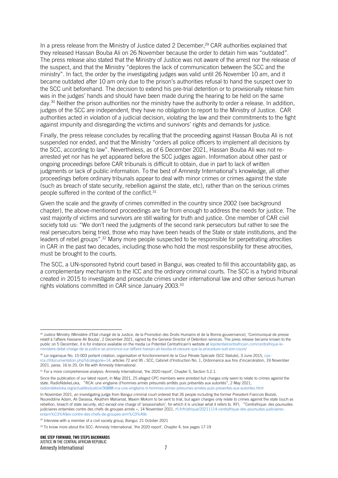In a press release from the Ministry of Justice dated 2 December, <sup>29</sup> CAR authorities explained that they released Hassan Bouba Ali on 26 November because the order to detain him was "outdated". The press release also stated that the Ministry of Justice was not aware of the arrest nor the release of the suspect, and that the Ministry "deplores the lack of communication between the SCC and the ministry". In fact, the order by the investigating judges was valid until 26 November 10 am, and it became outdated after 10 am only due to the prison's authorities refusal to hand the suspect over to the SCC unit beforehand. The decision to extend his pre-trial detention or to provisionally release him was in the judges' hands and should have been made during the hearing to be held on the same day. <sup>30</sup> Neither the prison authorities nor the ministry have the authority to order a release. In addition, judges of the SCC are independent, they have no obligation to report to the Ministry of Justice. CAR authorities acted in violation of a judicial decision, violating the law and their commitments to the fight against impunity and disregarding the victims and survivors' rights and demands for justice.

Finally, the press release concludes by recalling that the proceeding against Hassan Bouba Ali is not suspended nor ended, and that the Ministry "orders all police officers to implement all decisions by the SCC, according to law". Nevertheless, as of 6 December 2021, Hassan Bouba Ali was not rearrested yet nor has he yet appeared before the SCC judges again. Information about other past or ongoing proceedings before CAR tribunals is difficult to obtain, due in part to lack of written judgments or lack of public information. To the best of Amnesty International's knowledge, all other proceedings before ordinary tribunals appear to deal with minor crimes or crimes against the state (such as breach of state security, rebellion against the state, etc), rather than on the serious crimes people suffered in the context of the conflict.<sup>31</sup>

Given the scale and the gravity of crimes committed in the country since 2002 (see background chapter), the above-mentioned proceedings are far from enough to address the needs for justice. The vast majority of victims and survivors are still waiting for truth and justice. One member of CAR civil society told us: "We don't need the judgments of the second rank persecutors but rather to see the real persecutors being tried, those who may have been heads of the State or state institutions, and the leaders of rebel groups".<sup>32</sup> Many more people suspected to be responsible for perpetrating atrocities in CAR in the past two decades, including those who hold the most responsibility for these atrocities, must be brought to the courts.

The SCC, a UN-sponsored hybrid court based in Bangui, was created to fill this accountability gap, as a complementary mechanism to the ICC and the ordinary criminal courts. The SCC is a hybrid tribunal created in 2015 to investigate and prosecute crimes under international law and other serious human rights violations committed in CAR since January 2003.<sup>33</sup>

Since the publication of our latest report, in May 2021, 25 alleged CPC members were arrested but charges only seem to relate to crimes against the state. RadioNdekeLuka, "RCA: une vingtaine d'hommes armés présumés arrêtés puis présentés aux autorités", 2 May 2021, [radiondekeluka.org/actualites/justice/36888-rca-une-vingtaine-d-hommes-armes-presumes-arretes-puis-presentes-aux-autorites.html](http://www.radiondekeluka.org/actualites/justice/36888-rca-une-vingtaine-d-hommes-armes-presumes-arretes-puis-presentes-aux-autorites.html)

In November 2021, an investigating judge from Bangui criminal court ordered that 26 people including the former President Francois Bozizé, Noureddine Adam, Ali Darassa, Alkathim Mahamat, Maxim Mokom to be sent to trial, but again charges only relate to crimes against the state (such as rebellion, breach of state security, etc) except one charge of 'assassination', for which it is unclear what it refers to. RFI, "Centrafrique: des poursuites judiciaires entamées contre des chefs de groupes armés », 14 November 2021, [rfi.fr/fr/afrique/20211114-centrafrique-des-poursuites-judiciaires](https://www.rfi.fr/fr/afrique/20211114-centrafrique-des-poursuites-judiciaires-entam%C3%A9es-contre-des-chefs-de-groupes-arm%C3%A9s)[entam%C3%A9es-contre-des-chefs-de-groupes-arm%C3%A9s](https://www.rfi.fr/fr/afrique/20211114-centrafrique-des-poursuites-judiciaires-entam%C3%A9es-contre-des-chefs-de-groupes-arm%C3%A9s)

<sup>&</sup>lt;sup>29</sup> Justice Ministry (Ministère d'Etat chargé de la Justice, de la Promotion des Droits Humains et de la Bonne gouvernance), 'Communiqué de presse relatif à l'affaire Hassane Ali Bouba', 2 December 2021, signed by the General Director of Detention services. The press release became known to the public on 5 December, it is for instance available on the media Le Potentiel Centrafricain's website at [lepotentielcentrafricain.com/centrafrique-le](https://lepotentielcentrafricain.com/centrafrique-le-ministere-detat-charge-de-la-justice-se-prononce-sur-laffaire-hassan-ali-bouba-et-rassure-que-la-procedure-suit-son-cours/)[ministere-detat-charge-de-la-justice-se-prononce-sur-laffaire-hassan-ali-bouba-et-rassure-que-la-procedure-suit-son-cours/](https://lepotentielcentrafricain.com/centrafrique-le-ministere-detat-charge-de-la-justice-se-prononce-sur-laffaire-hassan-ali-bouba-et-rassure-que-la-procedure-suit-son-cours/)

<sup>30</sup> Loi organique No. 15-003 portant création, organisation et fonctionnement de la Cour Pénale Spéciale (SCC Statute), 3 June 2015, cps [rca.cf/documentation.php?idcategorie=14,](http://www.cps-rca.cf/documentation.php?idcategorie=14) articles 72 and 95 ; SCC, Cabinet d'Instruction No. 1, Ordonnance aux fins d'incarcération, 19 November 2021, paras. 16 to 20, On file with Amnesty International.

 $31$  For a more comprehensive analysis: Amnesty International, 'the 2020 report', Chapter 5, Section 5.2.1.

<sup>&</sup>lt;sup>32</sup> Interview with a member of a civil society group, Bangui, 21 October 2021

<sup>&</sup>lt;sup>33</sup> To know more about the SCC: Amnesty International, 'the 2020 report', Chapter 4, box pages 17-19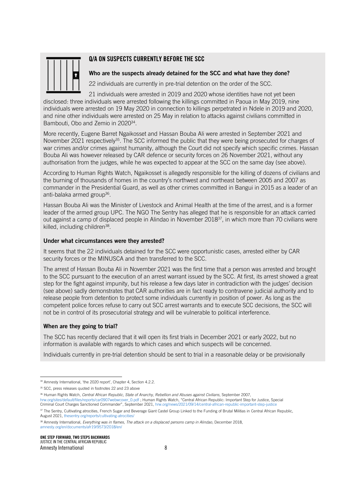

#### Q/A ON SUSPECTS CURRENTLY BEFORE THE SCC

#### Who are the suspects already detained for the SCC and what have they done?

22 individuals are currently in pre-trial detention on the order of the SCC.

21 individuals were arrested in 2019 and 2020 whose identities have not yet been disclosed: three individuals were arrested following the killings committed in Paoua in May 2019, nine individuals were arrested on 19 May 2020 in connection to killings perpetrated in Ndele in 2019 and 2020, and nine other individuals were arrested on 25 May in relation to attacks against civilians committed in Bambouti, Obo and Zemio in 2020<sup>34</sup>.

More recently, Eugene Barret Ngaikosset and Hassan Bouba Ali were arrested in September 2021 and November 2021 respectively<sup>35</sup>. The SCC informed the public that they were being prosecuted for charges of war crimes and/or crimes against humanity, although the Court did not specify which specific crimes. Hassan Bouba Ali was however released by CAR defence or security forces on 26 November 2021, without any authorisation from the judges, while he was expected to appear at the SCC on the same day (see above).

According to Human Rights Watch, Ngaikosset is allegedly responsible for the killing of dozens of civilians and the burning of thousands of homes in the country's northwest and northeast between 2005 and 2007 as commander in the Presidential Guard, as well as other crimes committed in Bangui in 2015 as a leader of an anti-balaka armed group<sup>36</sup>.

Hassan Bouba Ali was the Minister of Livestock and Animal Health at the time of the arrest, and is a former leader of the armed group UPC. The NGO The Sentry has alleged that he is responsible for an attack carried out against a camp of displaced people in Alindao in November 2018<sup>37</sup>, in which more than 70 civilians were killed, including children<sup>38</sup>.

#### Under what circumstances were they arrested?

It seems that the 22 individuals detained for the SCC were opportunistic cases, arrested either by CAR security forces or the MINUSCA and then transferred to the SCC.

The arrest of Hassan Bouba Ali in November 2021 was the first time that a person was arrested and brought to the SCC pursuant to the execution of an arrest warrant issued by the SCC. At first, its arrest showed a great step for the fight against impunity, but his release a few days later in contradiction with the judges' decision (see above) sadly demonstrates that CAR authorities are in fact ready to contravene judicial authority and to release people from detention to protect some individuals currently in position of power. As long as the competent police forces refuse to carry out SCC arrest warrants and to execute SCC decisions, the SCC will not be in control of its prosecutorial strategy and will be vulnerable to political interference.

#### When are they going to trial?

The SCC has recently declared that it will open its first trials in December 2021 or early 2022, but no information is available with regards to which cases and which suspects will be concerned.

Individuals currently in pre-trial detention should be sent to trial in a reasonable delay or be provisionally

38 Amnesty International, *Everything was in flames, The attack on a displaced persons camp in Alindao*, December 2018, [amnesty.org/en/documents/afr19/9573/2018/en/](https://www.amnesty.org/en/documents/afr19/9573/2018/en/)

<sup>&</sup>lt;sup>34</sup> Amnesty International, 'the 2020 report', Chapter 4, Section 4.2.2.

<sup>&</sup>lt;sup>35</sup> SCC, press releases quoted in footnotes 22 and 23 above

<sup>36</sup> Human Rights Watch, *Central African Republic, State of Anarchy, Rebellion and Abuses against Civilians*, September 2007,

[hrw.org/sites/default/files/reports/car0907webwcover\\_0.pdf](https://www.hrw.org/sites/default/files/reports/car0907webwcover_0.pdf) ; Human Rights Watch, "Central African Republic: Important Step for Justice, Special Criminal Court Charges Sanctioned Commander", September 2021, [hrw.org/news/2021/09/14/central-african-republic-important-step-justice](https://www.hrw.org/news/2021/09/14/central-african-republic-important-step-justice)

<sup>37</sup> The Sentry, Cultivating atrocities, French Sugar and Beverage Giant Castel Group Linked to the Funding of Brutal Militias in Central African Republic, August 2021, [thesentry.org/reports/cultivating-atrocities/](https://thesentry.org/reports/cultivating-atrocities/)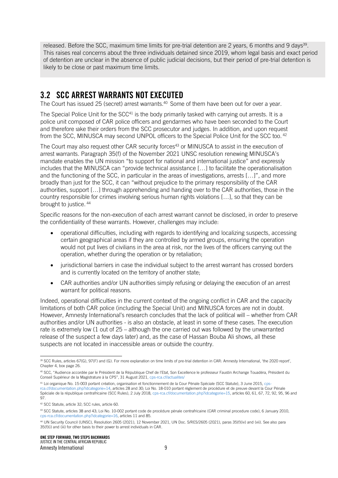released. Before the SCC, maximum time limits for pre-trial detention are 2 years, 6 months and 9 days<sup>39</sup>. This raises real concerns about the three individuals detained since 2019, whom legal basis and exact period of detention are unclear in the absence of public judicial decisions, but their period of pre-trial detention is likely to be close or past maximum time limits.

#### 3.2 SCC ARREST WARRANTS NOT EXECUTED

The Court has issued 25 (secret) arrest warrants. <sup>40</sup> Some of them have been out for over a year.

The Special Police Unit for the  $SCC<sup>41</sup>$  is the body primarily tasked with carrying out arrests. It is a police unit composed of CAR police officers and gendarmes who have been seconded to the Court and therefore take their orders from the SCC prosecutor and judges. In addition, and upon request from the SCC, MINUSCA may second UNPOL officers to the Special Police Unit for the SCC too.<sup>42</sup>

The Court may also request other CAR security forces<sup>43</sup> or MINUSCA to assist in the execution of arrest warrants. Paragraph 35(f) of the November 2021 UNSC resolution renewing MINUSCA's mandate enables the UN mission "to support for national and international justice" and expressly includes that the MINUSCA can "provide technical assistance […] to facilitate the operationalisation and the functioning of the SCC, in particular in the areas of investigations, arrests […]", and more broadly than just for the SCC, it can "without prejudice to the primary responsibility of the CAR authorities, support […] through apprehending and handing over to the CAR authorities, those in the country responsible for crimes involving serious human rights violations […], so that they can be brought to justice. <sup>44</sup>

Specific reasons for the non-execution of each arrest warrant cannot be disclosed, in order to preserve the confidentiality of these warrants. However, challenges may include:

- operational difficulties, including with regards to identifying and localizing suspects, accessing certain geographical areas if they are controlled by armed groups, ensuring the operation would not put lives of civilians in the area at risk, nor the lives of the officers carrying out the operation, whether during the operation or by retaliation;
- jurisdictional barriers in case the individual subject to the arrest warrant has crossed borders and is currently located on the territory of another state;
- CAR authorities and/or UN authorities simply refusing or delaying the execution of an arrest warrant for political reasons.

Indeed, operational difficulties in the current context of the ongoing conflict in CAR and the capacity limitations of both CAR police (including the Special Unit) and MINUSCA forces are not in doubt. However, Amnesty International's research concludes that the lack of political will – whether from CAR authorities and/or UN authorities - is also an obstacle, at least in some of these cases. The execution rate is extremely low (1 out of 25 – although the one carried out was followed by the unwarranted release of the suspect a few days later) and, as the case of Hassan Bouba Ali shows, all these suspects are not located in inaccessible areas or outside the country.

<sup>39</sup> SCC Rules, articles 67(G), 97(F) and (G). For more explanation on time limits of pre-trial detention in CAR: Amnesty International, 'the 2020 report', Chapter 4, box page 26.

<sup>&</sup>lt;sup>40</sup> SCC, "Audience accordée par le Président de la République Chef de l'Etat, Son Excellence le professeur Faustin Archange Touadéra, Président du Conseil Supérieur de la Magistrature à la CPS", 31 August 2021, [cps-rca.cf/actualites/](https://cps-rca.cf/actualites/Audience-accorda%EF%BF%BDe-par-le-Pra%EF%BF%BDsident-de-la-Ra%EF%BF%BDpublique-Chef-de-l-Etat,-Son-Excellence-le-professeur-Faustin-Archange-Touada%EF%BF%BDra,-Pra%EF%BF%BDsident-du-Conseil-Supa%EF%BF%BDrieur-de-la-Magistrature-a%EF%BF%BD-la-CPS/91/)

<sup>41</sup> Loi organique No. 15-003 portant création, organisation et fonctionnement de la Cour Pénale Spéciale (SCC Statute), 3 June 2015, [cps](http://www.cps-rca.cf/documentation.php?idcategorie=14)[rca.cf/documentation.php?idcategorie=14,](http://www.cps-rca.cf/documentation.php?idcategorie=14) articles 28 and 30; Loi No. 18-010 portant règlement de procédure et de preuve devant la Cour Pénale Spéciale de la république centrafricaine (SCC Rules), 2 July 2018, [cps-rca.cf/documentation.php?idcategorie=15,](https://cps-rca.cf/documentation.php?idcategorie=15) articles 60, 61, 67, 72, 92, 95, 96 and 97.

<sup>42</sup> SCC Statute, article 32; SCC rules, article 60.

<sup>43</sup> SCC Statute, articles 38 and 43; Loi No. 10-002 portant code de procédure pénale centrafricaine (CAR criminal procedure code), 6 January 2010, [cps-rca.cf/documentation.php?idcategorie=16,](https://cps-rca.cf/documentation.php?idcategorie=16) articles 11 and 85.

<sup>44</sup> UN Security Council (UNSC), Resolution 2605 (2021), 12 November 2021, UN Doc. S/RES/2605 (2021), paras 35(f)(iv) and (vii). See also para 35(f)(i) and (iii) for other basis to their power to arrest individuals in CAR.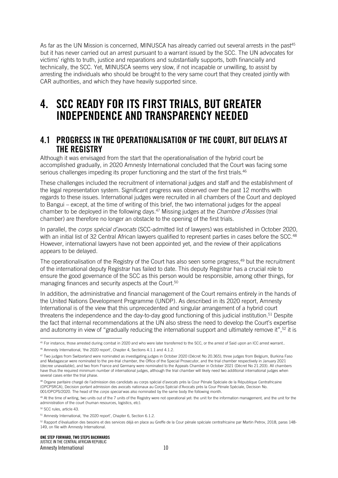As far as the UN Mission is concerned, MINUSCA has already carried out several arrests in the past<sup>45</sup> but it has never carried out an arrest pursuant to a warrant issued by the SCC. The UN advocates for victims' rights to truth, justice and reparations and substantially supports, both financially and technically, the SCC. Yet, MINUSCA seems very slow, if not incapable or unwilling, to assist by arresting the individuals who should be brought to the very same court that they created jointly with CAR authorities, and which they have heavily supported since.

## 4. SCC READY FOR ITS FIRST TRIALS, BUT GREATER INDEPENDENCE AND TRANSPARENCY NEEDED

#### 4.1 PROGRESS IN THE OPERATIONALISATION OF THE COURT, BUT DELAYS AT THE REGISTRY

Although it was envisaged from the start that the operationalisation of the hybrid court be accomplished gradually, in 2020 Amnesty International concluded that the Court was facing some serious challenges impeding its proper functioning and the start of the first trials.<sup>46</sup>

These challenges included the recruitment of international judges and staff and the establishment of the legal representation system. Significant progress was observed over the past 12 months with regards to these issues. International judges were recruited in all chambers of the Court and deployed to Bangui – except, at the time of writing of this brief, the two international judges for the appeal chamber to be deployed in the following days.<sup>47</sup> Missing judges at the *Chambre d'Assises* (trial chamber) are therefore no longer an obstacle to the opening of the first trials.

In parallel, the *corps spécial d'avocats* (SCC-admitted list of lawyers) was established in October 2020, with an initial list of 32 Central African lawyers qualified to represent parties in cases before the SCC.<sup>48</sup> However, international lawyers have not been appointed yet, and the review of their applications appears to be delayed.

The operationalisation of the Registry of the Court has also seen some progress,<sup>49</sup> but the recruitment of the international deputy Registrar has failed to date. This deputy Registrar has a crucial role to ensure the good governance of the SCC as this person would be responsible, among other things, for managing finances and security aspects at the Court.<sup>50</sup>

In addition, the administrative and financial management of the Court remains entirely in the hands of the United Nations Development Programme (UNDP). As described in its 2020 report, Amnesty International is of the view that this unprecedented and singular arrangement of a hybrid court threatens the independence and the day-to-day good functioning of this judicial institution.<sup>51</sup> Despite the fact that internal recommendations at the UN also stress the need to develop the Court's expertise and autonomy in view of "gradually reducing the international support and ultimately remove it", <sup>52</sup> it is

<sup>50</sup> SCC rules, article 43.

<sup>45</sup> For instance, those arrested during combat in 2020 and who were later transferred to the SCC, or the arrest of Said upon an ICC arrest warrant.. <sup>46</sup> Amnesty International, 'the 2020 report', Chapter 4, Sections 4.1.1 and 4.1.2.

<sup>&</sup>lt;sup>47</sup> Two judges from Switzerland were nominated as investigating judges in October 2020 (Décret No 20.365), three judges from Belgium, Burkina Faso and Madagascar were nominated to the pre-trial chamber, the Office of the Special Prosecutor, and the trial chamber respectively in January 2021 (decree unavailable), and two from France and Germany were nominated to the Appeals Chamber in October 2021 (Décret No 21.203). All chambers have thus the required minimum number of international judges, although the trial chamber will likely need two additional international judges when several cases enter the trial phase.

<sup>&</sup>lt;sup>48</sup> Organe paritaire chargé de l'admission des candidats au corps spécial d'avocats près la Cour Pénale Spéciale de la République Centrafricaine (OPCPSRCA), Decision portant admission des avocats nationaux au Corps Spécial d'Avocats près la Cour Pénale Spéciale, Decision No. 001/OPCPS/2020. The head of the *corps special* was also nominated by the same body the following month.

<sup>49</sup> At the time of writing, two units out of the 7 units of the Registry were not operational yet: the unit for the information management, and the unit for the administration of the court (human resources, logistics, etc).

<sup>51</sup> Amnesty International, 'the 2020 report', Chapter 6, Section 6.1.2.

<sup>&</sup>lt;sup>52</sup> Rapport d'évaluation des besoins et des services déjà en place au Greffe de la Cour pénale spéciale centrafricaine par Martin Petrov, 2018, paras 148-149, on file with Amnesty International.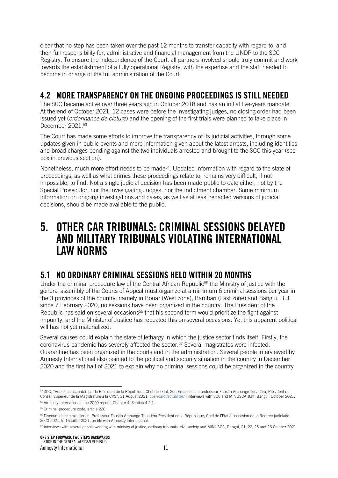clear that no step has been taken over the past 12 months to transfer capacity with regard to, and then full responsibility for, administrative and financial management from the UNDP to the SCC Registry. To ensure the independence of the Court, all partners involved should truly commit and work towards the establishment of a fully operational Registry, with the expertise and the staff needed to become in charge of the full administration of the Court.

#### 4.2 MORE TRANSPARENCY ON THE ONGOING PROCEEDINGS IS STILL NEEDED

The SCC became active over three years ago in October 2018 and has an initial five-years mandate. At the end of October 2021, 12 cases were before the investigating judges, no closing order had been issued yet (*ordonnance de cloture*) and the opening of the first trials were planned to take place in December 2021.<sup>53</sup>

The Court has made some efforts to improve the transparency of its judicial activities, through some updates given in public events and more information given about the latest arrests, including identities and broad charges pending against the two individuals arrested and brought to the SCC this year (see box in previous section).

Nonetheless, much more effort needs to be made<sup>54</sup>. Updated information with regard to the state of proceedings, as well as what crimes these proceedings relate to, remains very difficult, if not impossible, to find. Not a single judicial decision has been made public to date either, not by the Special Prosecutor, nor the Investigating Judges, nor the Indictment chamber. Some minimum information on ongoing investigations and cases, as well as at least redacted versions of judicial decisions, should be made available to the public.

## 5. OTHER CAR TRIBUNALS: CRIMINAL SESSIONS DELAYED AND MILITARY TRIBUNALS VIOLATING INTERNATIONAL LAW NORMS

#### 5.1 NO ORDINARY CRIMINAL SESSIONS HELD WITHIN 20 MONTHS

Under the criminal procedure law of the Central African Republic<sup>55</sup> the Ministry of justice with the general assembly of the Courts of Appeal must organize at a minimum 6 criminal sessions per year in the 3 provinces of the country, namely in Bouar (West zone), Bambari (East zone) and Bangui. But since 7 February 2020, no sessions have been organized in the country. The President of the Republic has said on several occasions<sup>56</sup> that his second term would prioritize the fight against impunity, and the Minister of Justice has repeated this on several occasions. Yet this apparent political will has not yet materialized.

Several causes could explain the state of lethargy in which the justice sector finds itself. Firstly, the coronavirus pandemic has severely affected the sector. <sup>57</sup> Several magistrates were infected. Quarantine has been organized in the courts and in the administration. Several people interviewed by Amnesty International also pointed to the political and security situation in the country in December 2020 and the first half of 2021 to explain why no criminal sessions could be organized in the country

<sup>53</sup> SCC, "Audience accordée par le Président de la République Chef de l'Etat, Son Excellence le professeur Faustin Archange Touadéra, Président du Conseil Supérieur de la Magistrature à la CPS", 31 August 2021, [cps-rca.cf/actualites/](https://cps-rca.cf/actualites/Audience-accorda%EF%BF%BDe-par-le-Pra%EF%BF%BDsident-de-la-Ra%EF%BF%BDpublique-Chef-de-l-Etat,-Son-Excellence-le-professeur-Faustin-Archange-Touada%EF%BF%BDra,-Pra%EF%BF%BDsident-du-Conseil-Supa%EF%BF%BDrieur-de-la-Magistrature-a%EF%BF%BD-la-CPS/91/) ; interviews with SCC and MINUSCA staff, Bangui, October 2021.

<sup>54</sup> Amnesty International, 'the 2020 report', Chapter 4, Section 4.2.1.

<sup>55</sup> Criminal procedure code, article 220

<sup>56</sup> Discours de son excellence, Professeur Faustin Archange Touadera President de la République, Chef de l'Etat à l'occasion de la Rentrée judiciaire 2020-2021, le 16 juillet 2021, on file with Amnesty International.

<sup>57</sup> Interviews with several people working with ministry of justice, ordinary tribunals, civil society and MINUSCA, Bangui, 21, 22, 25 and 26 October 2021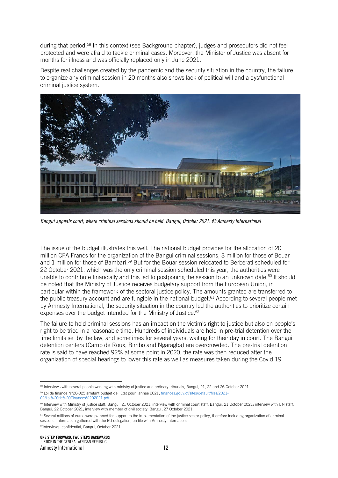during that period. <sup>58</sup> In this context (see Background chapter), judges and prosecutors did not feel protected and were afraid to tackle criminal cases. Moreover, the Minister of Justice was absent for months for illness and was officially replaced only in June 2021.

Despite real challenges created by the pandemic and the security situation in the country, the failure to organize any criminal session in 20 months also shows lack of political will and a dysfunctional criminal justice system.



*Bangui appeals court, where criminal sessions should be held. Bangui, October 2021. © Amnesty International*

The issue of the budget illustrates this well. The national budget provides for the allocation of 20 million CFA Francs for the organization of the Bangui criminal sessions, 3 million for those of Bouar and 1 million for those of Bambari.<sup>59</sup> But for the Bouar session relocated to Berberati scheduled for 22 October 2021, which was the only criminal session scheduled this year, the authorities were unable to contribute financially and this led to postponing the session to an unknown date: <sup>60</sup> It should be noted that the Ministry of Justice receives budgetary support from the European Union, in particular within the framework of the sectoral justice policy. The amounts granted are transferred to the public treasury account and are fungible in the national budget. <sup>61</sup> According to several people met by Amnesty International, the security situation in the country led the authorities to prioritize certain expenses over the budget intended for the Ministry of Justice. 62

The failure to hold criminal sessions has an impact on the victim's right to justice but also on people's right to be tried in a reasonable time. Hundreds of individuals are held in pre-trial detention over the time limits set by the law, and sometimes for several years, waiting for their day in court. The Bangui detention centers (Camp de Roux, Bimbo and Ngaragba) are overcrowded. The pre-trial detention rate is said to have reached 92% at some point in 2020, the rate was then reduced after the organization of special hearings to lower this rate as well as measures taken during the Covid 19

[02/Loi%20de%20Finances%202021.pdf](http://www.finances.gouv.cf/sites/default/files/2021-02/Loi%20de%20Finances%202021.pdf)

<sup>62</sup>Interviews, confidential, Bangui, October 2021

<sup>&</sup>lt;sup>58</sup> Interviews with several people working with ministry of justice and ordinary tribunals, Bangui, 21, 22 and 26 October 2021

<sup>59</sup> Loi de finance N°20-025 arrêtant budget de l'Etat pour l'année 2021, [finances.gouv.cf/sites/default/files/2021-](http://www.finances.gouv.cf/sites/default/files/2021-02/Loi%20de%20Finances%202021.pdf)

<sup>&</sup>lt;sup>60</sup> Interview with Ministry of justice staff, Bangui, 21 October 2021; interview with criminal court staff, Bangui, 21 October 2021; interview with UN staff, Bangui, 22 October 2021; interview with member of civil society, Bangui, 27 October 2021;

<sup>&</sup>lt;sup>61</sup> Several millions of euros were planned for support to the implementation of the justice sector policy, therefore including organization of criminal sessions. Information gathered with the EU delegation, on file with Amnesty International.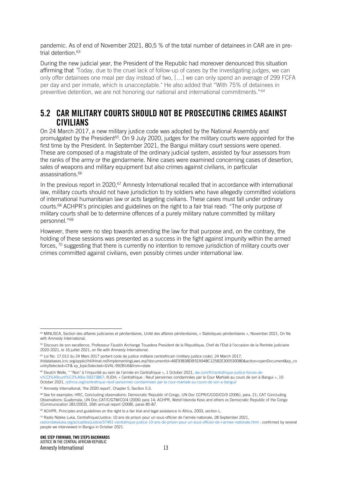pandemic. As of end of November 2021, 80,5 % of the total number of detainees in CAR are in pretrial detention. 63

During the new judicial year, the President of the Republic had moreover denounced this situation affirming that *"*Today, due to the cruel lack of follow-up of cases by the investigating judges, we can only offer detainees one meal per day instead of two, […] we can only spend an average of 299 FCFA per day and per inmate, which is unacceptable." He also added that "With 75% of detainees in preventive detention, we are not honoring our national and international commitments." *64*

#### 5.2 CAR MILITARY COURTS SHOULD NOT BE PROSECUTING CRIMES AGAINST CIVILIANS

On 24 March 2017, a new military justice code was adopted by the National Assembly and promulgated by the President<sup>65</sup>. On 9 July 2020, judges for the military courts were appointed for the first time by the President. In September 2021, the Bangui military court sessions were opened. These are composed of a magistrate of the ordinary judicial system, assisted by four assessors from the ranks of the army or the gendarmerie. Nine cases were examined concerning cases of desertion, sales of weapons and military equipment but also crimes against civilians, in particular assassinations. 66

In the previous report in 2020,<sup>67</sup> Amnesty International recalled that in accordance with international law, military courts should not have jurisdiction to try soldiers who have allegedly committed violations of international humanitarian law or acts targeting civilians. These cases must fall under ordinary courts. <sup>68</sup> ACHPR's principles and guidelines on the right to a fair trial read: "The only purpose of military courts shall be to determine offences of a purely military nature committed by military personnel." 69

However, there were no step towards amending the law for that purpose and, on the contrary, the holding of these sessions was presented as a success in the fight against impunity within the armed forces, <sup>70</sup> suggesting that there is currently no intention to remove jurisdiction of military courts over crimes committed against civilians, even possibly crimes under international law.

<sup>66</sup> Deutch Welle, " "Non" à l'impunité au sein de l'armée en Centrafrique », 1 October 2021[, dw.com/fr/centrafrique-justice-forces-de](https://www.dw.com/fr/centrafrique-justice-forces-de-s%C3%A9curit%C3%A9/a-59373867)[s%C3%A9curit%C3%A9/a-59373867;](https://www.dw.com/fr/centrafrique-justice-forces-de-s%C3%A9curit%C3%A9/a-59373867) RJDH, « Centrafrique : Neuf personnes condamnées par la Cour Martiale au cours de son à Bangui », 10 October 2021[, rjdhrca.org/centrafrique-neuf-personnes-condamnees-par-la-cour-martiale-au-cours-de-son-a-bangui/](https://www.rjdhrca.org/centrafrique-neuf-personnes-condamnees-par-la-cour-martiale-au-cours-de-son-a-bangui/)

<sup>&</sup>lt;sup>63</sup> MINUSCA, Section des affaires judiciaires et pénitentiaires, Unité des affaires pénitentiaires, « Statistiques pénitentiaires », November 2021, On file with Amnesty International.

<sup>&</sup>lt;sup>64</sup> Discours de son excellence, Professeur Faustin Archange Touadera President de la République, Chef de l'Etat à l'occasion de la Rentrée judiciaire 2020-2021, le 16 juillet 2021, on file with Amnesty International.

<sup>65</sup> Loi No. 17.012 du 24 Mars 2017 portant code de justice militaire centrafricain (military justice code), 24 March 2017,

ihldatabases.icrc.org/applic/ihl/ihlnat.nsf/implementingLaws.xsp?documentId=46E93838DB5EA948C12582E300530080&action=openDocument&xp\_co untrySelected=CF& xp\_topicSelected=GVAL-992BU6&from=state

<sup>67</sup> Amnesty International, 'the 2020 report', Chapter 5, Section 5.3.

<sup>68</sup> See for examples: HRC, Concluding observations: Democratic Republic of Congo, UN Doc CCPR/C/COD/CO/3 (2006), para. 21; CAT Concluding Observations: Guatemala, UN Doc.CAT/C/GTM/CO/4 (2006) para 14; ACHPR, Wetsh'okonda Koso and others vs Democratic Republic of the Congo (Communication 281/2003), 26th annual report (2008), paras 85-87.

<sup>69</sup> ACHPR, Principles and guidelines on the right to a fair trial and legal assistance in Africa, 2003, section L.

<sup>70</sup> Radio Ndeke Luka, Centrafrique/Justice: 10 ans de prison pour un sous-officier de l'armée nationale, 28 September 2021,

[radiondekeluka.org/actualites/justice/37491-centrafrique-justice-10-ans-de-prison-pour-un-sous-officier-de-l-armee-nationale.html](https://www.radiondekeluka.org/actualites/justice/37491-centrafrique-justice-10-ans-de-prison-pour-un-sous-officier-de-l-armee-nationale.html) ; confirmed by several people we interviewed in Bangui in October 2021.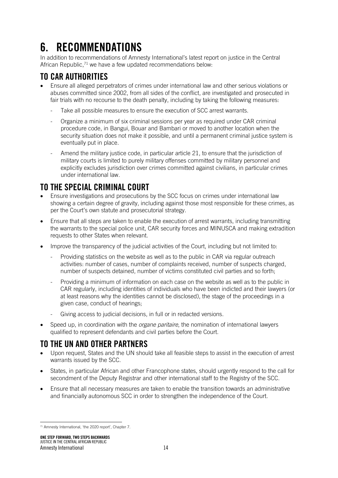# 6. RECOMMENDATIONS

In addition to recommendations of Amnesty International's latest report on justice in the Central African Republic,<sup>71</sup> we have a few updated recommendations below:

## TO CAR AUTHORITIES

- Ensure all alleged perpetrators of crimes under international law and other serious violations or abuses committed since 2002, from all sides of the conflict, are investigated and prosecuted in fair trials with no recourse to the death penalty, including by taking the following measures:
	- Take all possible measures to ensure the execution of SCC arrest warrants.
	- Organize a minimum of six criminal sessions per year as required under CAR criminal procedure code, in Bangui, Bouar and Bambari or moved to another location when the security situation does not make it possible, and until a permanent criminal justice system is eventually put in place.
	- Amend the military justice code, in particular article 21, to ensure that the jurisdiction of military courts is limited to purely military offenses committed by military personnel and explicitly excludes jurisdiction over crimes committed against civilians, in particular crimes under international law.

### TO THE SPECIAL CRIMINAL COURT

- Ensure investigations and prosecutions by the SCC focus on crimes under international law showing a certain degree of gravity, including against those most responsible for these crimes, as per the Court's own statute and prosecutorial strategy.
- Ensure that all steps are taken to enable the execution of arrest warrants, including transmitting the warrants to the special police unit, CAR security forces and MINUSCA and making extradition requests to other States when relevant.
- Improve the transparency of the judicial activities of the Court, including but not limited to:
	- Providing statistics on the website as well as to the public in CAR via regular outreach activities: number of cases, number of complaints received, number of suspects charged, number of suspects detained, number of victims constituted civil parties and so forth;
	- Providing a minimum of information on each case on the website as well as to the public in CAR regularly, including identities of individuals who have been indicted and their lawyers (or at least reasons why the identities cannot be disclosed), the stage of the proceedings in a given case, conduct of hearings;
	- Giving access to judicial decisions, in full or in redacted versions.
- Speed up, in coordination with the *organe paritaire*, the nomination of international lawyers qualified to represent defendants and civil parties before the Court.

#### TO THE UN AND OTHER PARTNERS

- Upon request, States and the UN should take all feasible steps to assist in the execution of arrest warrants issued by the SCC.
- States, in particular African and other Francophone states, should urgently respond to the call for secondment of the Deputy Registrar and other international staff to the Registry of the SCC.
- Ensure that all necessary measures are taken to enable the transition towards an administrative and financially autonomous SCC in order to strengthen the independence of the Court.

<sup>71</sup> Amnesty International, 'the 2020 report', Chapter 7.